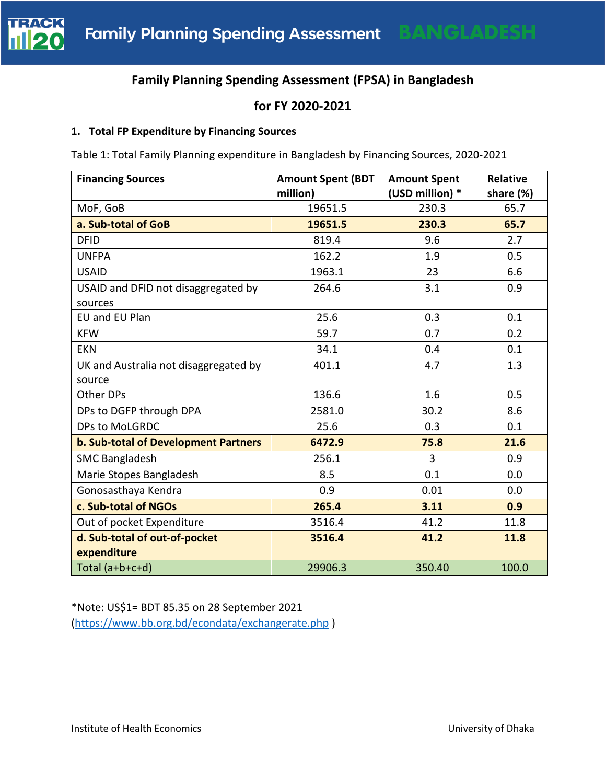

# **Family Planning Spending Assessment (FPSA) in Bangladesh**

## **for FY 2020-2021**

#### **1. Total FP Expenditure by Financing Sources**

Table 1: Total Family Planning expenditure in Bangladesh by Financing Sources, 2020-2021

| <b>Financing Sources</b>              | <b>Amount Spent (BDT</b><br>million) | <b>Amount Spent</b><br>(USD million) * | <b>Relative</b><br>share (%) |
|---------------------------------------|--------------------------------------|----------------------------------------|------------------------------|
| MoF, GoB                              | 19651.5                              | 230.3                                  | 65.7                         |
| a. Sub-total of GoB                   | 19651.5                              | 230.3                                  | 65.7                         |
| <b>DFID</b>                           | 819.4                                | 9.6                                    | 2.7                          |
| <b>UNFPA</b>                          | 162.2                                | 1.9                                    | 0.5                          |
| <b>USAID</b>                          | 1963.1                               | 23                                     | 6.6                          |
| USAID and DFID not disaggregated by   | 264.6                                | 3.1                                    | 0.9                          |
| sources                               |                                      |                                        |                              |
| EU and EU Plan                        | 25.6                                 | 0.3                                    | 0.1                          |
| <b>KFW</b>                            | 59.7                                 | 0.7                                    | 0.2                          |
| <b>EKN</b>                            | 34.1                                 | 0.4                                    | 0.1                          |
| UK and Australia not disaggregated by | 401.1                                | 4.7                                    | 1.3                          |
| source                                |                                      |                                        |                              |
| Other DPs                             | 136.6                                | 1.6                                    | 0.5                          |
| DPs to DGFP through DPA               | 2581.0                               | 30.2                                   | 8.6                          |
| DPs to MoLGRDC                        | 25.6                                 | 0.3                                    | 0.1                          |
| b. Sub-total of Development Partners  | 6472.9                               | 75.8                                   | 21.6                         |
| <b>SMC Bangladesh</b>                 | 256.1                                | 3                                      | 0.9                          |
| Marie Stopes Bangladesh               | 8.5                                  | 0.1                                    | 0.0                          |
| Gonosasthaya Kendra                   | 0.9                                  | 0.01                                   | 0.0                          |
| c. Sub-total of NGOs                  | 265.4                                | 3.11                                   | 0.9                          |
| Out of pocket Expenditure             | 3516.4                               | 41.2                                   | 11.8                         |
| d. Sub-total of out-of-pocket         | 3516.4                               | 41.2                                   | 11.8                         |
| expenditure                           |                                      |                                        |                              |
| Total $(a+b+c+d)$                     | 29906.3                              | 350.40                                 | 100.0                        |

\*Note: US\$1= BDT 85.35 on 28 September 2021 [\(https://www.bb.org.bd/econdata/exchangerate.php](https://www.bb.org.bd/econdata/exchangerate.php) )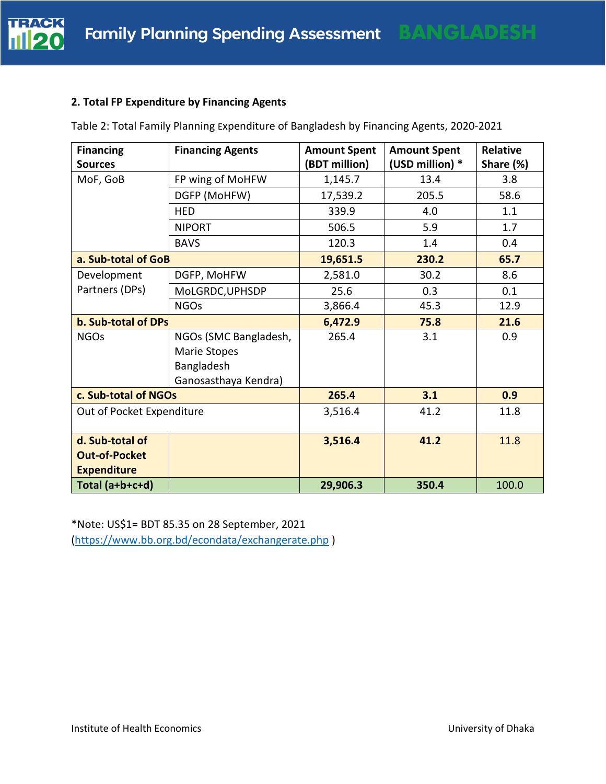#### **2. Total FP Expenditure by Financing Agents**

Table 2: Total Family Planning Expenditure of Bangladesh by Financing Agents, 2020-2021

| <b>Financing</b>          | <b>Financing Agents</b> | <b>Amount Spent</b> | <b>Amount Spent</b> | <b>Relative</b> |
|---------------------------|-------------------------|---------------------|---------------------|-----------------|
| <b>Sources</b>            |                         | (BDT million)       | (USD million) *     | Share (%)       |
| MoF, GoB                  | FP wing of MoHFW        | 1,145.7             | 13.4                | 3.8             |
|                           | DGFP (MoHFW)            | 17,539.2            | 205.5               | 58.6            |
|                           | <b>HED</b>              | 339.9               | 4.0                 | 1.1             |
|                           | <b>NIPORT</b>           | 506.5               | 5.9                 | 1.7             |
|                           | <b>BAVS</b>             | 120.3               | 1.4                 | 0.4             |
| a. Sub-total of GoB       |                         | 19,651.5            | 230.2               | 65.7            |
| Development               | DGFP, MoHFW             | 2,581.0             | 30.2                | 8.6             |
| Partners (DPs)            | MoLGRDC, UPHSDP         | 25.6                | 0.3                 | 0.1             |
|                           | <b>NGOs</b>             | 3,866.4             | 45.3                | 12.9            |
| b. Sub-total of DPs       |                         | 6,472.9             | 75.8                | 21.6            |
| <b>NGOs</b>               | NGOs (SMC Bangladesh,   | 265.4               | 3.1                 | 0.9             |
|                           | Marie Stopes            |                     |                     |                 |
|                           | Bangladesh              |                     |                     |                 |
|                           | Ganosasthaya Kendra)    |                     |                     |                 |
| c. Sub-total of NGOs      |                         | 265.4               | 3.1                 | 0.9             |
| Out of Pocket Expenditure |                         | 3,516.4             | 41.2                | 11.8            |
|                           |                         |                     |                     |                 |
| d. Sub-total of           |                         | 3,516.4             | 41.2                | 11.8            |
| <b>Out-of-Pocket</b>      |                         |                     |                     |                 |
| <b>Expenditure</b>        |                         |                     |                     |                 |
| Total (a+b+c+d)           |                         | 29,906.3            | 350.4               | 100.0           |

\*Note: US\$1= BDT 85.35 on 28 September, 2021 [\(https://www.bb.org.bd/econdata/exchangerate.php](https://www.bb.org.bd/econdata/exchangerate.php) )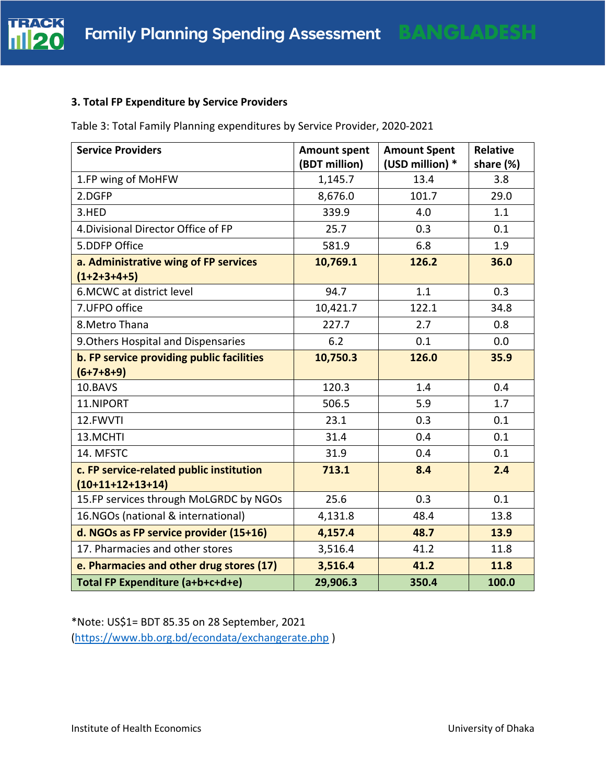#### **3. Total FP Expenditure by Service Providers**

Table 3: Total Family Planning expenditures by Service Provider, 2020-2021

| <b>Service Providers</b>                                       | <b>Amount spent</b><br>(BDT million) | <b>Amount Spent</b><br>(USD million) * | <b>Relative</b><br>share (%) |
|----------------------------------------------------------------|--------------------------------------|----------------------------------------|------------------------------|
| 1.FP wing of MoHFW                                             | 1,145.7                              | 13.4                                   | 3.8                          |
| 2.DGFP                                                         | 8,676.0                              | 101.7                                  | 29.0                         |
| 3.HED                                                          | 339.9                                | 4.0                                    | 1.1                          |
| 4. Divisional Director Office of FP                            | 25.7                                 | 0.3                                    | 0.1                          |
| 5.DDFP Office                                                  | 581.9                                | 6.8                                    | 1.9                          |
| a. Administrative wing of FP services<br>$(1+2+3+4+5)$         | 10,769.1                             | 126.2                                  | 36.0                         |
| 6. MCWC at district level                                      | 94.7                                 | 1.1                                    | 0.3                          |
| 7.UFPO office                                                  | 10,421.7                             | 122.1                                  | 34.8                         |
| 8. Metro Thana                                                 | 227.7                                | 2.7                                    | 0.8                          |
| 9. Others Hospital and Dispensaries                            | 6.2                                  | 0.1                                    | 0.0                          |
| b. FP service providing public facilities                      | 10,750.3                             | 126.0                                  | 35.9                         |
| $(6+7+8+9)$                                                    |                                      |                                        |                              |
| 10.BAVS                                                        | 120.3                                | 1.4                                    | 0.4                          |
| 11.NIPORT                                                      | 506.5                                | 5.9                                    | 1.7                          |
| 12.FWVTI                                                       | 23.1                                 | 0.3                                    | 0.1                          |
| 13.MCHTI                                                       | 31.4                                 | 0.4                                    | 0.1                          |
| 14. MFSTC                                                      | 31.9                                 | 0.4                                    | 0.1                          |
| c. FP service-related public institution<br>$(10+11+12+13+14)$ | 713.1                                | 8.4                                    | 2.4                          |
| 15.FP services through MoLGRDC by NGOs                         | 25.6                                 | 0.3                                    | 0.1                          |
| 16.NGOs (national & international)                             | 4,131.8                              | 48.4                                   | 13.8                         |
| d. NGOs as FP service provider (15+16)                         | 4,157.4                              | 48.7                                   | 13.9                         |
| 17. Pharmacies and other stores                                | 3,516.4                              | 41.2                                   | 11.8                         |
| e. Pharmacies and other drug stores (17)                       | 3,516.4                              | 41.2                                   | 11.8                         |
| Total FP Expenditure (a+b+c+d+e)                               | 29,906.3                             | 350.4                                  | 100.0                        |

\*Note: US\$1= BDT 85.35 on 28 September, 2021 [\(https://www.bb.org.bd/econdata/exchangerate.php](https://www.bb.org.bd/econdata/exchangerate.php) )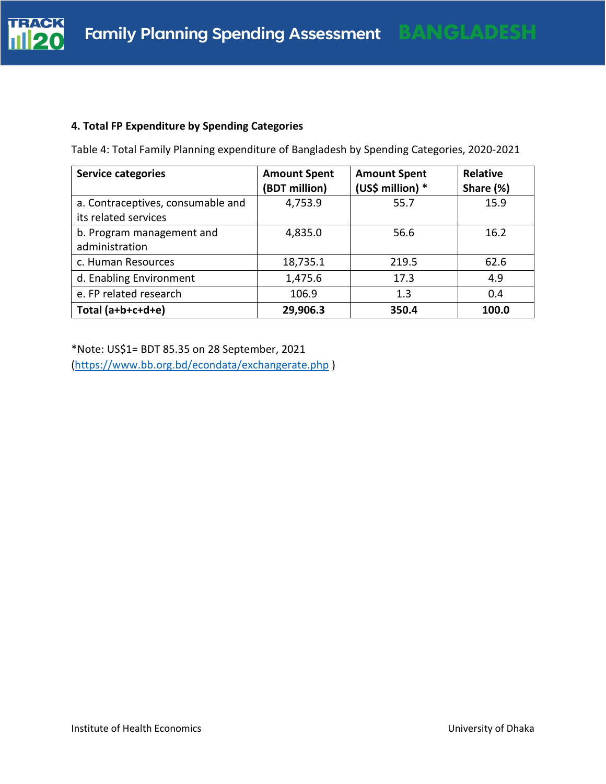

## **4. Total FP Expenditure by Spending Categories**

| <b>Service categories</b>                                 | <b>Amount Spent</b><br>(BDT million) | <b>Amount Spent</b><br>(US\$ million) * | <b>Relative</b><br>Share (%) |
|-----------------------------------------------------------|--------------------------------------|-----------------------------------------|------------------------------|
| a. Contraceptives, consumable and<br>its related services | 4,753.9                              | 55.7                                    | 15.9                         |
| b. Program management and<br>administration               | 4,835.0                              | 56.6                                    | 16.2                         |
| c. Human Resources                                        | 18,735.1                             | 219.5                                   | 62.6                         |
| d. Enabling Environment                                   | 1,475.6                              | 17.3                                    | 4.9                          |
| e. FP related research                                    | 106.9                                | 1.3                                     | 0.4                          |
| Total $(a+b+c+d+e)$                                       | 29,906.3                             | 350.4                                   | 100.0                        |

Table 4: Total Family Planning expenditure of Bangladesh by Spending Categories, 2020-2021

\*Note: US\$1= BDT 85.35 on 28 September, 2021 [\(https://www.bb.org.bd/econdata/exchangerate.php](https://www.bb.org.bd/econdata/exchangerate.php) )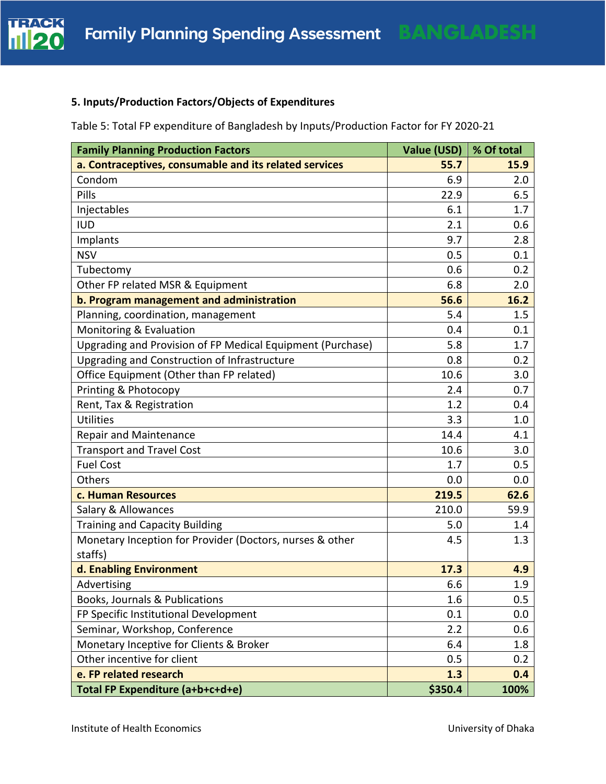

## **5. Inputs/Production Factors/Objects of Expenditures**

Table 5: Total FP expenditure of Bangladesh by Inputs/Production Factor for FY 2020-21

| <b>Family Planning Production Factors</b>                           | Value (USD) | % Of total |
|---------------------------------------------------------------------|-------------|------------|
| a. Contraceptives, consumable and its related services              | 55.7        | 15.9       |
| Condom                                                              | 6.9         | 2.0        |
| Pills                                                               | 22.9        | 6.5        |
| Injectables                                                         | 6.1         | 1.7        |
| <b>IUD</b>                                                          | 2.1         | 0.6        |
| Implants                                                            | 9.7         | 2.8        |
| <b>NSV</b>                                                          | 0.5         | 0.1        |
| Tubectomy                                                           | 0.6         | 0.2        |
| Other FP related MSR & Equipment                                    | 6.8         | 2.0        |
| b. Program management and administration                            | 56.6        | 16.2       |
| Planning, coordination, management                                  | 5.4         | 1.5        |
| Monitoring & Evaluation                                             | 0.4         | 0.1        |
| Upgrading and Provision of FP Medical Equipment (Purchase)          | 5.8         | 1.7        |
| Upgrading and Construction of Infrastructure                        | 0.8         | 0.2        |
| Office Equipment (Other than FP related)                            | 10.6        | 3.0        |
| Printing & Photocopy                                                | 2.4         | 0.7        |
| Rent, Tax & Registration                                            | 1.2         | 0.4        |
| Utilities                                                           | 3.3         | 1.0        |
| <b>Repair and Maintenance</b>                                       | 14.4        | 4.1        |
| <b>Transport and Travel Cost</b>                                    | 10.6        | 3.0        |
| <b>Fuel Cost</b>                                                    | 1.7         | 0.5        |
| Others                                                              | 0.0         | 0.0        |
| c. Human Resources                                                  | 219.5       | 62.6       |
| Salary & Allowances                                                 | 210.0       | 59.9       |
| <b>Training and Capacity Building</b>                               | 5.0         | 1.4        |
| Monetary Inception for Provider (Doctors, nurses & other<br>staffs) | 4.5         | 1.3        |
| d. Enabling Environment                                             | 17.3        | 4.9        |
| Advertising                                                         | 6.6         | 1.9        |
| Books, Journals & Publications                                      | 1.6         | 0.5        |
| FP Specific Institutional Development                               | 0.1         | 0.0        |
| Seminar, Workshop, Conference                                       | 2.2         | 0.6        |
| Monetary Inceptive for Clients & Broker                             | 6.4         | 1.8        |
| Other incentive for client                                          | 0.5         | 0.2        |
| e. FP related research                                              | 1.3         | 0.4        |
| Total FP Expenditure (a+b+c+d+e)                                    | \$350.4     | 100%       |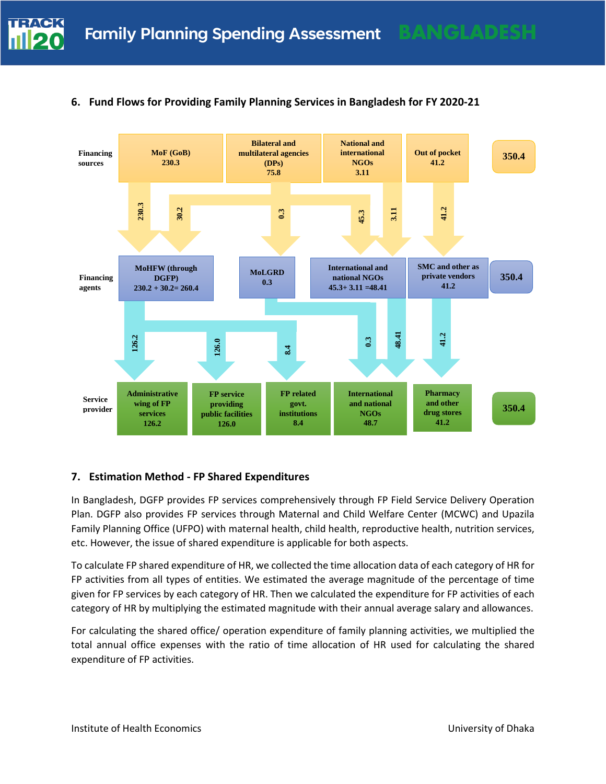

## **6. Fund Flows for Providing Family Planning Services in Bangladesh for FY 2020-21**

#### **7. Estimation Method - FP Shared Expenditures**

In Bangladesh, DGFP provides FP services comprehensively through FP Field Service Delivery Operation Plan. DGFP also provides FP services through Maternal and Child Welfare Center (MCWC) and Upazila Family Planning Office (UFPO) with maternal health, child health, reproductive health, nutrition services, etc. However, the issue of shared expenditure is applicable for both aspects.

To calculate FP shared expenditure of HR, we collected the time allocation data of each category of HR for FP activities from all types of entities. We estimated the average magnitude of the percentage of time given for FP services by each category of HR. Then we calculated the expenditure for FP activities of each category of HR by multiplying the estimated magnitude with their annual average salary and allowances.

For calculating the shared office/ operation expenditure of family planning activities, we multiplied the total annual office expenses with the ratio of time allocation of HR used for calculating the shared expenditure of FP activities.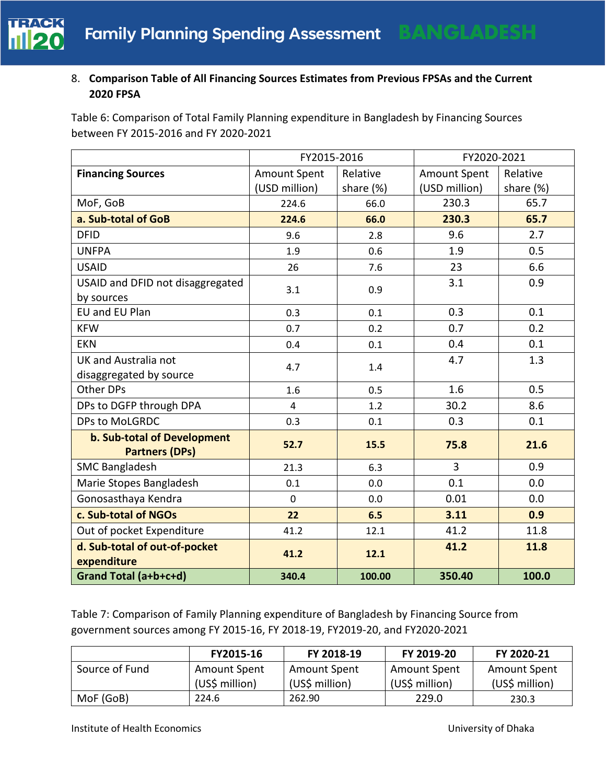

## 8. **Comparison Table of All Financing Sources Estimates from Previous FPSAs and the Current 2020 FPSA**

Table 6: Comparison of Total Family Planning expenditure in Bangladesh by Financing Sources between FY 2015-2016 and FY 2020-2021

|                                                      | FY2015-2016         |           | FY2020-2021         |           |  |
|------------------------------------------------------|---------------------|-----------|---------------------|-----------|--|
| <b>Financing Sources</b>                             | <b>Amount Spent</b> | Relative  | <b>Amount Spent</b> | Relative  |  |
|                                                      | (USD million)       | share (%) | (USD million)       | share (%) |  |
| MoF, GoB                                             | 224.6               | 66.0      | 230.3               | 65.7      |  |
| a. Sub-total of GoB                                  | 224.6               | 66.0      | 230.3               | 65.7      |  |
| <b>DFID</b>                                          | 9.6                 | 2.8       | 9.6                 | 2.7       |  |
| <b>UNFPA</b>                                         | 1.9                 | 0.6       | 1.9                 | 0.5       |  |
| <b>USAID</b>                                         | 26                  | 7.6       | 23                  | 6.6       |  |
| USAID and DFID not disaggregated                     | 3.1                 | 0.9       | 3.1                 | 0.9       |  |
| by sources                                           |                     |           |                     |           |  |
| EU and EU Plan                                       | 0.3                 | 0.1       | 0.3                 | 0.1       |  |
| <b>KFW</b>                                           | 0.7                 | 0.2       | 0.7                 | 0.2       |  |
| <b>EKN</b>                                           | 0.4                 | 0.1       | 0.4                 | 0.1       |  |
| UK and Australia not                                 | 4.7                 | 1.4       | 4.7                 | 1.3       |  |
| disaggregated by source                              |                     |           |                     |           |  |
| Other DPs                                            | 1.6                 | 0.5       | 1.6                 | 0.5       |  |
| DPs to DGFP through DPA                              | $\overline{4}$      | 1.2       | 30.2                | 8.6       |  |
| DPs to MoLGRDC                                       | 0.3                 | 0.1       | 0.3                 | 0.1       |  |
| b. Sub-total of Development<br><b>Partners (DPs)</b> | 52.7                | 15.5      | 75.8                | 21.6      |  |
| <b>SMC Bangladesh</b>                                | 21.3                | 6.3       | 3                   | 0.9       |  |
| Marie Stopes Bangladesh                              | 0.1                 | 0.0       | 0.1                 | 0.0       |  |
| Gonosasthaya Kendra                                  | $\mathbf 0$         | 0.0       | 0.01                | 0.0       |  |
| c. Sub-total of NGOs                                 | 22                  | 6.5       | 3.11                | 0.9       |  |
| Out of pocket Expenditure                            | 41.2                | 12.1      | 41.2                | 11.8      |  |
| d. Sub-total of out-of-pocket<br>expenditure         | 41.2                | 12.1      | 41.2                | 11.8      |  |
| Grand Total (a+b+c+d)                                | 340.4               | 100.00    | 350.40              | 100.0     |  |

Table 7: Comparison of Family Planning expenditure of Bangladesh by Financing Source from government sources among FY 2015-16, FY 2018-19, FY2019-20, and FY2020-2021

|                | FY2015-16           | FY 2018-19          | FY 2019-20          | FY 2020-21          |
|----------------|---------------------|---------------------|---------------------|---------------------|
| Source of Fund | <b>Amount Spent</b> | <b>Amount Spent</b> | <b>Amount Spent</b> | <b>Amount Spent</b> |
|                | (US\$ million)      | (US\$ million)      | (US\$ million)      | (US\$ million)      |
| MoF (GoB)      | 224.6               | 262.90              | 229.0               | 230.3               |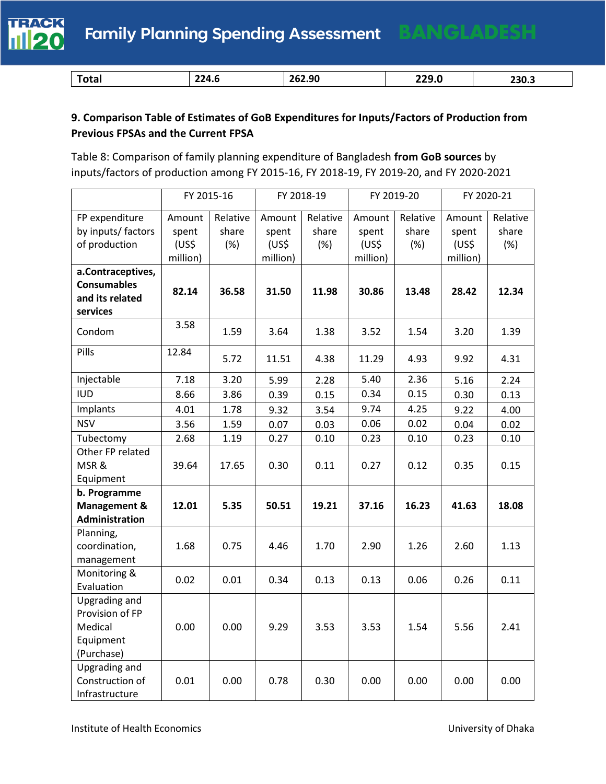

| . | 224.6 | 62.90<br>76,<br>_____ | າາດ<br>44J.U | 230.3 |
|---|-------|-----------------------|--------------|-------|

# **9. Comparison Table of Estimates of GoB Expenditures for Inputs/Factors of Production from Previous FPSAs and the Current FPSA**

Table 8: Comparison of family planning expenditure of Bangladesh **from GoB sources** by inputs/factors of production among FY 2015-16, FY 2018-19, FY 2019-20, and FY 2020-2021

|                      | FY 2015-16 |          | FY 2018-19         |          |                    | FY 2019-20 |                    | FY 2020-21 |
|----------------------|------------|----------|--------------------|----------|--------------------|------------|--------------------|------------|
| FP expenditure       | Amount     | Relative | Amount             | Relative | Amount             | Relative   | Amount             | Relative   |
| by inputs/ factors   | spent      | share    | spent              | share    | spent              | share      | spent              | share      |
| of production        | (US\$      | (%)      | (US <sub>5</sub> ) | (%)      | (US <sub>5</sub> ) | (%)        | (US <sup>2</sup> ) | (%)        |
|                      | million)   |          | million)           |          | million)           |            | million)           |            |
| a.Contraceptives,    |            |          |                    |          |                    |            |                    |            |
| <b>Consumables</b>   | 82.14      | 36.58    | 31.50              | 11.98    | 30.86              | 13.48      | 28.42              | 12.34      |
| and its related      |            |          |                    |          |                    |            |                    |            |
| services             |            |          |                    |          |                    |            |                    |            |
| Condom               | 3.58       | 1.59     | 3.64               | 1.38     | 3.52               | 1.54       | 3.20               | 1.39       |
| Pills                | 12.84      | 5.72     | 11.51              | 4.38     | 11.29              | 4.93       | 9.92               | 4.31       |
| Injectable           | 7.18       | 3.20     | 5.99               | 2.28     | 5.40               | 2.36       | 5.16               | 2.24       |
| <b>IUD</b>           | 8.66       | 3.86     | 0.39               | 0.15     | 0.34               | 0.15       | 0.30               | 0.13       |
| Implants             | 4.01       | 1.78     | 9.32               | 3.54     | 9.74               | 4.25       | 9.22               | 4.00       |
| <b>NSV</b>           | 3.56       | 1.59     | 0.07               | 0.03     | 0.06               | 0.02       | 0.04               | 0.02       |
| Tubectomy            | 2.68       | 1.19     | 0.27               | 0.10     | 0.23               | 0.10       | 0.23               | 0.10       |
| Other FP related     |            |          |                    |          |                    |            |                    |            |
| MSR&                 | 39.64      | 17.65    | 0.30               | 0.11     | 0.27               | 0.12       | 0.35               | 0.15       |
| Equipment            |            |          |                    |          |                    |            |                    |            |
| b. Programme         |            |          |                    |          |                    |            |                    |            |
| Management &         | 12.01      | 5.35     | 50.51              | 19.21    | 37.16              | 16.23      | 41.63              | 18.08      |
| Administration       |            |          |                    |          |                    |            |                    |            |
| Planning,            |            |          |                    |          |                    |            |                    |            |
| coordination,        | 1.68       | 0.75     | 4.46               | 1.70     | 2.90               | 1.26       | 2.60               | 1.13       |
| management           |            |          |                    |          |                    |            |                    |            |
| Monitoring &         | 0.02       | 0.01     | 0.34               | 0.13     | 0.13               | 0.06       | 0.26               | 0.11       |
| Evaluation           |            |          |                    |          |                    |            |                    |            |
| Upgrading and        |            |          |                    |          |                    |            |                    |            |
| Provision of FP      |            |          |                    |          |                    |            |                    |            |
| Medical<br>Equipment | 0.00       | 0.00     | 9.29               | 3.53     | 3.53               | 1.54       | 5.56               | 2.41       |
| (Purchase)           |            |          |                    |          |                    |            |                    |            |
| Upgrading and        |            |          |                    |          |                    |            |                    |            |
| Construction of      | 0.01       | 0.00     | 0.78               | 0.30     | 0.00               | 0.00       | 0.00               | 0.00       |
| Infrastructure       |            |          |                    |          |                    |            |                    |            |